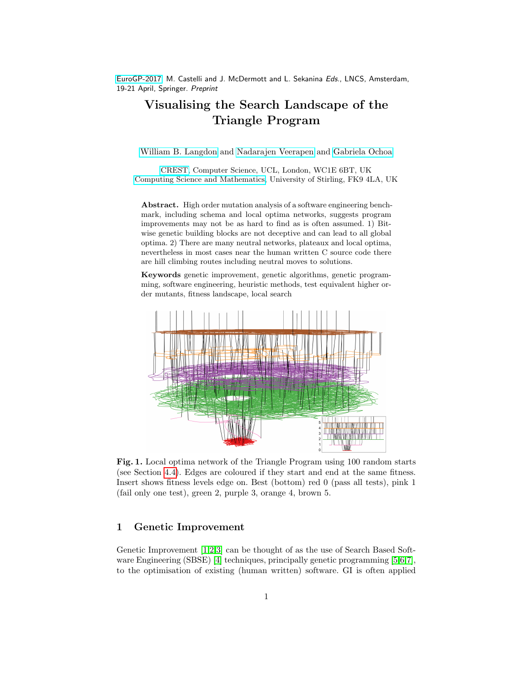[EuroGP-2017,](http://www.evostar.org/2017/cfp_eurogp.php) M. Castelli and J. McDermott and L. Sekanina Eds., LNCS, Amsterdam, 19-21 April, Springer. Preprint

# Visualising the Search Landscape of the Triangle Program

[William B. Langdon](http://www.cs.ucl.ac.uk/staff/W.Langdon/) and [Nadarajen Veerapen](http://www.cs.stir.ac.uk/~nve/) and [Gabriela Ochoa](http://www.cs.stir.ac.uk/~goc/)

[CREST,](http://crest.cs.ucl.ac.uk/) Computer Science, UCL, London, WC1E 6BT, UK [Computing Science and Mathematics,](http://www.stir.ac.uk/natural-sciences/) University of Stirling, FK9 4LA, UK

Abstract. High order mutation analysis of a software engineering benchmark, including schema and local optima networks, suggests program improvements may not be as hard to find as is often assumed. 1) Bitwise genetic building blocks are not deceptive and can lead to all global optima. 2) There are many neutral networks, plateaux and local optima, nevertheless in most cases near the human written C source code there are hill climbing routes including neutral moves to solutions.

Keywords genetic improvement, genetic algorithms, genetic programming, software engineering, heuristic methods, test equivalent higher order mutants, fitness landscape, local search



<span id="page-0-0"></span>Fig. 1. Local optima network of the Triangle Program using 100 random starts (see Section [4.4\)](#page-8-0). Edges are coloured if they start and end at the same fitness. Insert shows fitness levels edge on. Best (bottom) red 0 (pass all tests), pink 1 (fail only one test), green 2, purple 3, orange 4, brown 5.

## 1 Genetic Improvement

Genetic Improvement [\[1,](#page-12-0)[2](#page-12-1)[,3\]](#page-12-2) can be thought of as the use of Search Based Software Engineering (SBSE) [\[4\]](#page-12-3) techniques, principally genetic programming [\[5,](#page-12-4)[6,](#page-12-5)[7\]](#page-12-6), to the optimisation of existing (human written) software. GI is often applied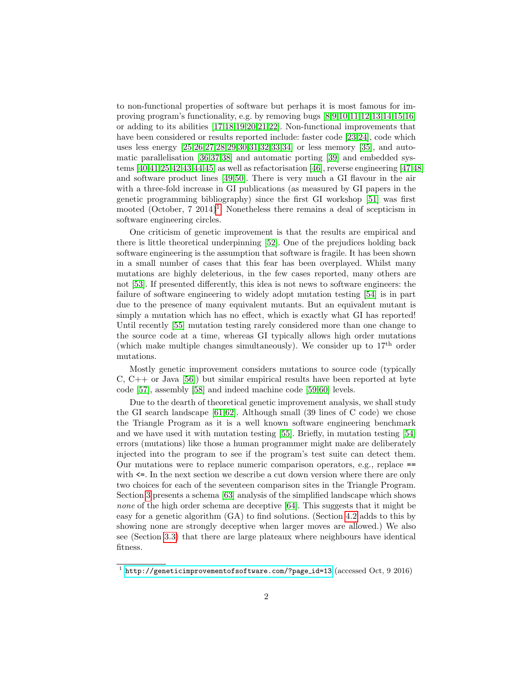to non-functional properties of software but perhaps it is most famous for improving program's functionality, e.g. by removing bugs [\[8,](#page-12-7)[9,](#page-12-8)[10](#page-12-9)[,11,](#page-12-10)[12,](#page-12-11)[13,](#page-12-12)[14,](#page-12-13)[15,](#page-12-14)[16\]](#page-12-15) or adding to its abilities [\[17,](#page-12-16)[18,](#page-13-0)[19,](#page-13-1)[20](#page-13-2)[,21,](#page-13-3)[22\]](#page-13-4). Non-functional improvements that have been considered or results reported include: faster code [\[23](#page-13-5)[,24\]](#page-13-6), code which uses less energy [\[25,](#page-13-7)[26](#page-13-8)[,27,](#page-13-9)[28,](#page-13-10)[29,](#page-13-11)[30](#page-13-12)[,31,](#page-13-13)[32,](#page-13-14)[33](#page-13-15)[,34\]](#page-14-0) or less memory [\[35\]](#page-14-1), and automatic parallelisation [\[36,](#page-14-2)[37,](#page-14-3)[38\]](#page-14-4) and automatic porting [\[39\]](#page-14-5) and embedded systems [\[40](#page-14-6)[,41,](#page-14-7)[25](#page-13-7)[,42](#page-14-8)[,43,](#page-14-9)[44,](#page-14-10)[45\]](#page-14-11) as well as refactorisation [\[46\]](#page-14-12), reverse engineering [\[47](#page-14-13)[,48\]](#page-14-14) and software product lines [\[49,](#page-14-15)[50\]](#page-15-0). There is very much a GI flavour in the air with a three-fold increase in GI publications (as measured by GI papers in the genetic programming bibliography) since the first GI workshop [\[51\]](#page-15-1) was first mooted (October,  $7 \t2014$  $7 \t2014$  $7 \t2014$ <sup>1</sup>. Nonetheless there remains a deal of scepticism in software engineering circles.

One criticism of genetic improvement is that the results are empirical and there is little theoretical underpinning [\[52\]](#page-15-2). One of the prejudices holding back software engineering is the assumption that software is fragile. It has been shown in a small number of cases that this fear has been overplayed. Whilst many mutations are highly deleterious, in the few cases reported, many others are not [\[53\]](#page-15-3). If presented differently, this idea is not news to software engineers: the failure of software engineering to widely adopt mutation testing [\[54\]](#page-15-4) is in part due to the presence of many equivalent mutants. But an equivalent mutant is simply a mutation which has no effect, which is exactly what GI has reported! Until recently [\[55\]](#page-15-5) mutation testing rarely considered more than one change to the source code at a time, whereas GI typically allows high order mutations (which make multiple changes simultaneously). We consider up to  $17<sup>th</sup>$  order mutations.

Mostly genetic improvement considers mutations to source code (typically C,  $C_{+}$  or Java [\[56\]](#page-15-6)) but similar empirical results have been reported at byte code [\[57\]](#page-15-7), assembly [\[58\]](#page-15-8) and indeed machine code [\[59,](#page-15-9)[60\]](#page-15-10) levels.

Due to the dearth of theoretical genetic improvement analysis, we shall study the GI search landscape  $[61,62]$  $[61,62]$ . Although small  $(39 \text{ lines of } C \text{ code})$  we chose the Triangle Program as it is a well known software engineering benchmark and we have used it with mutation testing [\[55\]](#page-15-5). Briefly, in mutation testing [\[54\]](#page-15-4) errors (mutations) like those a human programmer might make are deliberately injected into the program to see if the program's test suite can detect them. Our mutations were to replace numeric comparison operators, e.g., replace == with  $\leq$ . In the next section we describe a cut down version where there are only two choices for each of the seventeen comparison sites in the Triangle Program. Section [3](#page-2-0) presents a schema [\[63\]](#page-15-13) analysis of the simplified landscape which shows none of the high order schema are deceptive [\[64\]](#page-15-14). This suggests that it might be easy for a genetic algorithm (GA) to find solutions. (Section [4.2](#page-6-0) adds to this by showing none are strongly deceptive when larger moves are allowed.) We also see (Section [3.3\)](#page-4-0) that there are large plateaux where neighbours have identical fitness.

<span id="page-1-0"></span> $^1$  [http://geneticimprovementofsoftware.com/?page](http://geneticimprovementofsoftware.com/?page_id=13)\_id=13 (accessed Oct, 9 2016)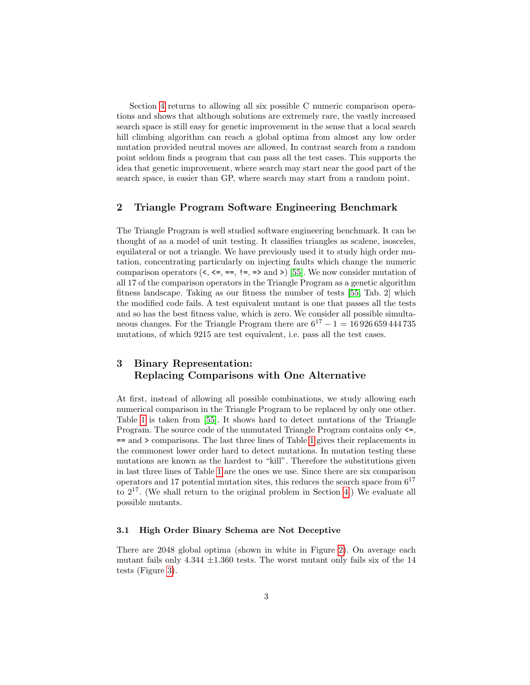Section [4](#page-5-0) returns to allowing all six possible C numeric comparison operations and shows that although solutions are extremely rare, the vastly increased search space is still easy for genetic improvement in the sense that a local search hill climbing algorithm can reach a global optima from almost any low order mutation provided neutral moves are allowed. In contrast search from a random point seldom finds a program that can pass all the test cases. This supports the idea that genetic improvement, where search may start near the good part of the search space, is easier than GP, where search may start from a random point.

### <span id="page-2-1"></span>2 Triangle Program Software Engineering Benchmark

The Triangle Program is well studied software engineering benchmark. It can be thought of as a model of unit testing. It classifies triangles as scalene, isosceles, equilateral or not a triangle. We have previously used it to study high order mutation, concentrating particularly on injecting faults which change the numeric comparison operators  $(\leq, \leq, ==, !=, =>$  and  $\geq)$  [\[55\]](#page-15-5). We now consider mutation of all 17 of the comparison operators in the Triangle Program as a genetic algorithm fitness landscape. Taking as our fitness the number of tests [\[55,](#page-15-5) Tab. 2] which the modified code fails. A test equivalent mutant is one that passes all the tests and so has the best fitness value, which is zero. We consider all possible simultaneous changes. For the Triangle Program there are  $6^{17} - 1 = 16926659444735$ mutations, of which 9215 are test equivalent, i.e. pass all the test cases.

# <span id="page-2-0"></span>3 Binary Representation: Replacing Comparisons with One Alternative

At first, instead of allowing all possible combinations, we study allowing each numerical comparison in the Triangle Program to be replaced by only one other. Table [1](#page-3-0) is taken from [\[55\]](#page-15-5). It shows hard to detect mutations of the Triangle Program. The source code of the unmutated Triangle Program contains only <=, == and > comparisons. The last three lines of Table [1](#page-3-0) gives their replacements in the commonest lower order hard to detect mutations. In mutation testing these mutations are known as the hardest to "kill". Therefore the substitutions given in last three lines of Table [1](#page-3-0) are the ones we use. Since there are six comparison operators and 17 potential mutation sites, this reduces the search space from  $6^{17}$ to  $2^{17}$ . (We shall return to the original problem in Section [4.](#page-5-0)) We evaluate all possible mutants.

### <span id="page-2-2"></span>3.1 High Order Binary Schema are Not Deceptive

There are 2048 global optima (shown in white in Figure [2\)](#page-4-1). On average each mutant fails only  $4.344 \pm 1.360$  tests. The worst mutant only fails six of the 14 tests (Figure [3\)](#page-5-1).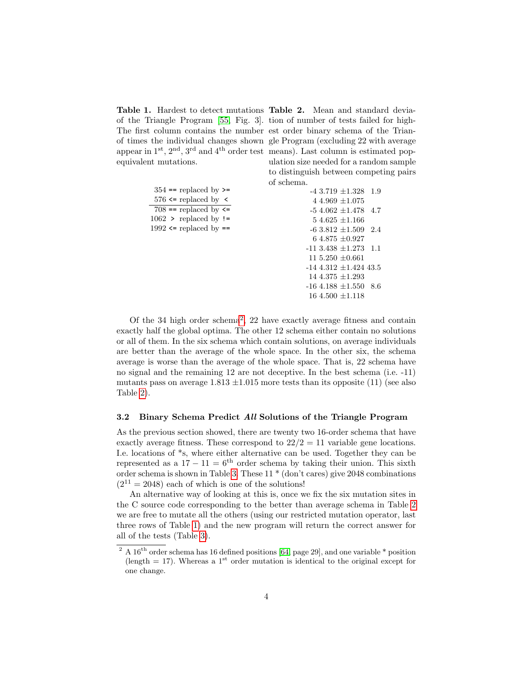of the Triangle Program [\[55,](#page-15-5) Fig. 3]. tion of number of tests failed for high-The first column contains the number est order binary schema of the Trianof times the individual changes shown gle Program (excluding 22 with average appear in 1<sup>st</sup>, 2<sup>nd</sup>, 3<sup>rd</sup> and 4<sup>th</sup> order test means). Last column is estimated popequivalent mutations.

|                              | of schema. |
|------------------------------|------------|
| $354 ==$ replaced by $\ge$   |            |
| 576 $\le$ replaced by $\le$  |            |
| $708 ==$ replaced by $\le$   |            |
| $1062$ > replaced by !=      |            |
| 1992 $\leq$ replaced by $==$ |            |
|                              |            |
|                              | -1         |
|                              | 1          |
|                              | - 1        |
|                              |            |

<span id="page-3-0"></span>Table 1. Hardest to detect mutations Table 2. Mean and standard deviaulation size needed for a random sample to distinguish between competing pairs

<span id="page-3-2"></span> $-4\,3.719\,\pm 1.328\quad1.9$ 4 4.969  $\pm 1.075$  $-54.062 \pm 1.478$  4.7  $54.625 \pm 1.166$  $-6\,3.812\pm1.509\quad2.4$ 6 4.875 ±0.927  $13.438 \pm 1.273$  1.1  $15.250 \pm 0.661$ -14 4.312 ±1.424 43.5 14 4.375 ±1.293  $-16$  4.188  $\pm 1.550$  8.6 16 4.500 ±1.118

Of the 34 high order schema<sup>[2](#page-3-1)</sup>, 22 have exactly average fitness and contain exactly half the global optima. The other 12 schema either contain no solutions or all of them. In the six schema which contain solutions, on average individuals are better than the average of the whole space. In the other six, the schema average is worse than the average of the whole space. That is, 22 schema have no signal and the remaining 12 are not deceptive. In the best schema (i.e. -11) mutants pass on average  $1.813 \pm 1.015$  more tests than its opposite (11) (see also Table [2\)](#page-3-2).

#### 3.2 Binary Schema Predict All Solutions of the Triangle Program

As the previous section showed, there are twenty two 16-order schema that have exactly average fitness. These correspond to  $22/2 = 11$  variable gene locations. I.e. locations of \*s, where either alternative can be used. Together they can be represented as a  $17 - 11 = 6$ <sup>th</sup> order schema by taking their union. This sixth order schema is shown in Table [3.](#page-4-2) These 11 \* (don't cares) give 2048 combinations  $(2^{11} = 2048)$  each of which is one of the solutions!

An alternative way of looking at this is, once we fix the six mutation sites in the C source code corresponding to the better than average schema in Table [2](#page-3-2) we are free to mutate all the others (using our restricted mutation operator, last three rows of Table [1\)](#page-3-0) and the new program will return the correct answer for all of the tests (Table [3\)](#page-4-2).

<span id="page-3-1"></span><sup>&</sup>lt;sup>2</sup> A  $16^{th}$  order schema has 16 defined positions [\[64,](#page-15-14) page 29], and one variable  $*$  position (length  $= 17$ ). Whereas a 1<sup>st</sup> order mutation is identical to the original except for one change.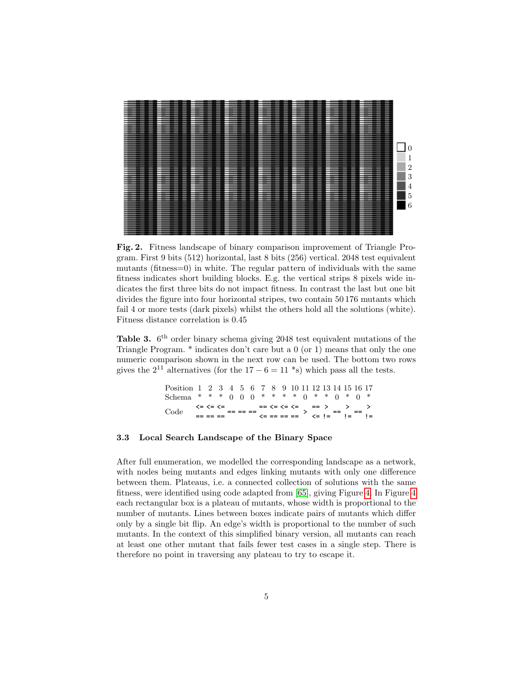| -<br>-                                                                            |                |
|-----------------------------------------------------------------------------------|----------------|
| -<br>-<br>$\overline{\phantom{a}}$<br>-<br>$\overline{\phantom{a}}$<br>-          |                |
| -<br>-<br>-<br>-<br>-<br>-<br>-<br>-<br>-<br>-<br>-<br>-                          |                |
| -<br>-                                                                            |                |
| -<br>-<br>-<br>-<br>-                                                             |                |
| -<br>-<br>-                                                                       |                |
| -<br>-<br>-<br>-<br>-<br>-<br>-<br>-<br>-<br>-<br>-<br>-<br>-<br>-<br>-           |                |
| -<br>-<br>-<br>-                                                                  |                |
| -<br>-<br>-<br>-<br>-<br>-                                                        |                |
| -<br>$\overline{\phantom{a}}$<br>-<br>-<br>-                                      |                |
|                                                                                   |                |
|                                                                                   |                |
|                                                                                   |                |
|                                                                                   |                |
| -<br>-<br>-                                                                       | $\overline{0}$ |
|                                                                                   |                |
|                                                                                   |                |
|                                                                                   |                |
|                                                                                   |                |
| -                                                                                 |                |
|                                                                                   | $\overline{2}$ |
| -<br>-<br>-<br>-<br>-<br>-<br>-<br>-<br>-<br>-<br>-<br>-                          |                |
| -<br>-<br>-<br>-<br>-                                                             |                |
| -<br>-<br>-<br>-<br>-<br>-<br>-<br>-<br>-<br>-<br>-                               | 3              |
| -<br>-<br>-<br>-<br>-<br>-<br>-<br>-<br>-<br>-<br>-<br>-<br>-                     |                |
| -<br>-<br>-                                                                       |                |
| -<br>-<br>-<br>-<br>-<br>-<br>-<br>-                                              | $\overline{4}$ |
| -<br>-<br>-                                                                       |                |
| -<br>-<br>-<br>-<br>$\overline{\phantom{a}}$<br>-<br>-<br>-<br>-                  |                |
| -<br>-<br>-<br>-                                                                  | 5              |
| -<br>-<br>-<br>-<br>-<br>-<br>-<br>-<br>-<br>-<br>-<br>-<br>-<br>-<br>-<br>-<br>- |                |
|                                                                                   |                |
|                                                                                   | 6              |
|                                                                                   |                |
|                                                                                   |                |
|                                                                                   |                |
| -<br>-                                                                            |                |
|                                                                                   |                |
|                                                                                   |                |
|                                                                                   |                |
|                                                                                   |                |
|                                                                                   |                |
|                                                                                   |                |

<span id="page-4-1"></span>Fig. 2. Fitness landscape of binary comparison improvement of Triangle Program. First 9 bits (512) horizontal, last 8 bits (256) vertical. 2048 test equivalent mutants (fitness=0) in white. The regular pattern of individuals with the same fitness indicates short building blocks. E.g. the vertical strips 8 pixels wide indicates the first three bits do not impact fitness. In contrast the last but one bit divides the figure into four horizontal stripes, two contain 50 176 mutants which fail 4 or more tests (dark pixels) whilst the others hold all the solutions (white). Fitness distance correlation is 0.45

<span id="page-4-2"></span>Table 3.  $6<sup>th</sup>$  order binary schema giving 2048 test equivalent mutations of the Triangle Program. \* indicates don't care but a 0 (or 1) means that only the one numeric comparison shown in the next row can be used. The bottom two rows gives the  $2^{11}$  alternatives (for the 17 – 6 = 11  $*$ s) which pass all the tests.

> Position 1 2 3 4 5 6 7 8 9 10 11 12 13 14 15 16 17  ${\bf Schema} \ \ * \ \ * \ \ * \ \ 0 \ \ 0 \ \ 0 \ \ * \ \ * \ \ * \ \ 0 \ \ * \ \ * \ \ 0 \ \ * \ \ 0 \ \ * \\$  $\text{Code} \quad \xleftarrow{\text{c} \leftarrow \text{c} = \text{c} = \text{c} = \text{c} = \text{c} = \text{c} = \text{c} = \text{c} = \text{c} = \text{c} = \text{c} = \text{c} = \text{c} = \text{c} = \text{c} = \text{c} = \text{c} = \text{c} = \text{c} = \text{c} = \text{c} = \text{c} = \text{c} = \text{c} = \text{c} = \text{c} = \text{c} = \text{c} = \text{c} = \text{c} = \text{c} = \text{c} = \text{c} = \text{$ == == == <= == == == <= != != !=

### <span id="page-4-0"></span>3.3 Local Search Landscape of the Binary Space

After full enumeration, we modelled the corresponding landscape as a network, with nodes being mutants and edges linking mutants with only one difference between them. Plateaus, i.e. a connected collection of solutions with the same fitness, were identified using code adapted from [\[65\]](#page-15-15), giving Figure [4.](#page-5-2) In Figure [4](#page-5-2) each rectangular box is a plateau of mutants, whose width is proportional to the number of mutants. Lines between boxes indicate pairs of mutants which differ only by a single bit flip. An edge's width is proportional to the number of such mutants. In the context of this simplified binary version, all mutants can reach at least one other mutant that fails fewer test cases in a single step. There is therefore no point in traversing any plateau to try to escape it.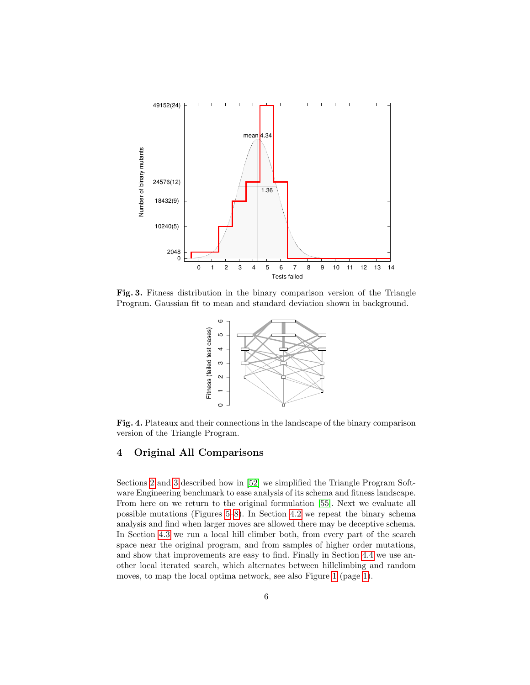

<span id="page-5-1"></span>Fig. 3. Fitness distribution in the binary comparison version of the Triangle Program. Gaussian fit to mean and standard deviation shown in background.



<span id="page-5-2"></span>Fig. 4. Plateaux and their connections in the landscape of the binary comparison version of the Triangle Program.

# <span id="page-5-0"></span>4 Original All Comparisons

Sections [2](#page-2-1) and [3](#page-2-0) described how in [\[52\]](#page-15-2) we simplified the Triangle Program Software Engineering benchmark to ease analysis of its schema and fitness landscape. From here on we return to the original formulation [\[55\]](#page-15-5). Next we evaluate all possible mutations (Figures [5–](#page-6-1)[8\)](#page-8-1). In Section [4.2](#page-6-0) we repeat the binary schema analysis and find when larger moves are allowed there may be deceptive schema. In Section [4.3](#page-7-0) we run a local hill climber both, from every part of the search space near the original program, and from samples of higher order mutations, and show that improvements are easy to find. Finally in Section [4.4](#page-8-0) we use another local iterated search, which alternates between hillclimbing and random moves, to map the local optima network, see also Figure [1](#page-0-0) (page [1\)](#page-0-0).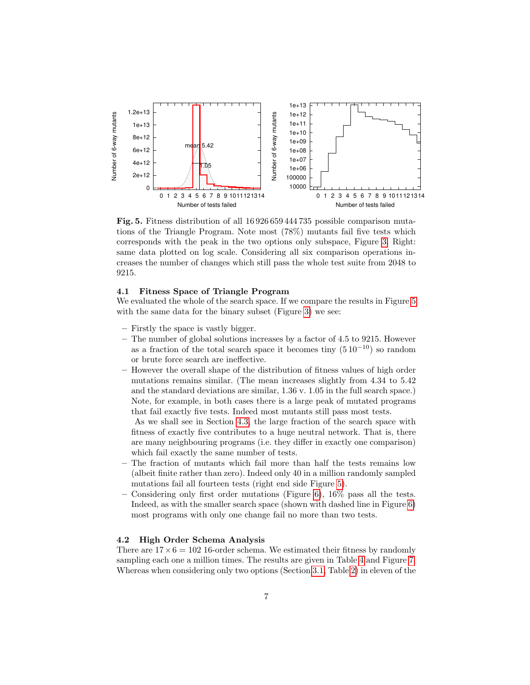

<span id="page-6-1"></span>Fig. 5. Fitness distribution of all 16 926 659 444 735 possible comparison mutations of the Triangle Program. Note most (78%) mutants fail five tests which corresponds with the peak in the two options only subspace, Figure [3.](#page-5-1) Right: same data plotted on log scale. Considering all six comparison operations increases the number of changes which still pass the whole test suite from 2048 to 9215.

### 4.1 Fitness Space of Triangle Program

We evaluated the whole of the search space. If we compare the results in Figure [5](#page-6-1) with the same data for the binary subset (Figure [3\)](#page-5-1) we see:

- Firstly the space is vastly bigger.
- The number of global solutions increases by a factor of 4.5 to 9215. However as a fraction of the total search space it becomes tiny  $(5 10^{-10})$  so random or brute force search are ineffective.
- However the overall shape of the distribution of fitness values of high order mutations remains similar. (The mean increases slightly from 4.34 to 5.42 and the standard deviations are similar, 1.36 v. 1.05 in the full search space.) Note, for example, in both cases there is a large peak of mutated programs that fail exactly five tests. Indeed most mutants still pass most tests.

As we shall see in Section [4.3,](#page-7-0) the large fraction of the search space with fitness of exactly five contributes to a huge neutral network. That is, there are many neighbouring programs (i.e. they differ in exactly one comparison) which fail exactly the same number of tests.

- The fraction of mutants which fail more than half the tests remains low (albeit finite rather than zero). Indeed only 40 in a million randomly sampled mutations fail all fourteen tests (right end side Figure [5\)](#page-6-1).
- Considering only first order mutations (Figure [6\)](#page-7-1), 16% pass all the tests. Indeed, as with the smaller search space (shown with dashed line in Figure [6\)](#page-7-1) most programs with only one change fail no more than two tests.

#### <span id="page-6-0"></span>4.2 High Order Schema Analysis

There are  $17 \times 6 = 102$  16-order schema. We estimated their fitness by randomly sampling each one a million times. The results are given in Table [4](#page-9-0) and Figure [7.](#page-7-2) Whereas when considering only two options (Section [3.1,](#page-2-2) Table [2\)](#page-3-2) in eleven of the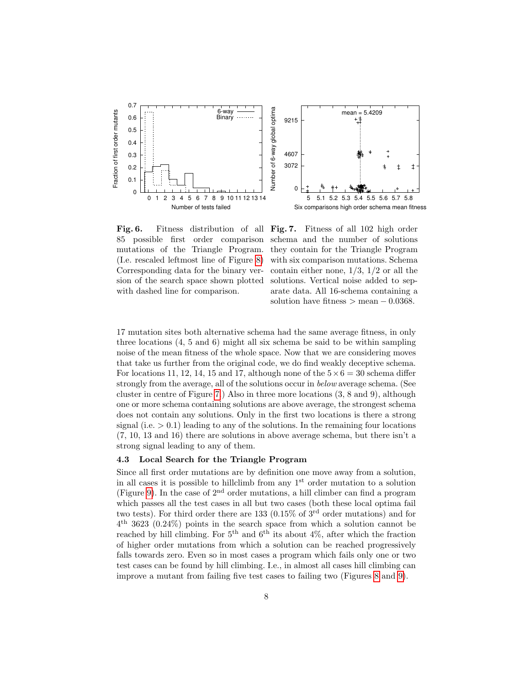



<span id="page-7-1"></span>Fig. 6. Fitness distribution of all Fig. 7. Fitness of all 102 high order 85 possible first order comparison mutations of the Triangle Program. (I.e. rescaled leftmost line of Figure [8\)](#page-8-1) Corresponding data for the binary version of the search space shown plotted with dashed line for comparison.

<span id="page-7-2"></span>schema and the number of solutions they contain for the Triangle Program with six comparison mutations. Schema contain either none,  $1/3$ ,  $1/2$  or all the solutions. Vertical noise added to separate data. All 16-schema containing a solution have fitness  $>$  mean  $-0.0368$ .

17 mutation sites both alternative schema had the same average fitness, in only three locations (4, 5 and 6) might all six schema be said to be within sampling noise of the mean fitness of the whole space. Now that we are considering moves that take us further from the original code, we do find weakly deceptive schema. For locations 11, 12, 14, 15 and 17, although none of the  $5 \times 6 = 30$  schema differ strongly from the average, all of the solutions occur in below average schema. (See cluster in centre of Figure [7.](#page-7-2)) Also in three more locations (3, 8 and 9), although one or more schema containing solutions are above average, the strongest schema does not contain any solutions. Only in the first two locations is there a strong signal (i.e.  $> 0.1$ ) leading to any of the solutions. In the remaining four locations (7, 10, 13 and 16) there are solutions in above average schema, but there isn't a strong signal leading to any of them.

### <span id="page-7-0"></span>4.3 Local Search for the Triangle Program

Since all first order mutations are by definition one move away from a solution, in all cases it is possible to hillclimb from any  $1<sup>st</sup>$  order mutation to a solution (Figure [9\)](#page-10-0). In the case of  $2<sup>nd</sup>$  order mutations, a hill climber can find a program which passes all the test cases in all but two cases (both these local optima fail two tests). For third order there are 133 (0.15% of  $3<sup>rd</sup>$  order mutations) and for 4 th 3623 (0.24%) points in the search space from which a solution cannot be reached by hill climbing. For  $5<sup>th</sup>$  and  $6<sup>th</sup>$  its about 4\%, after which the fraction of higher order mutations from which a solution can be reached progressively falls towards zero. Even so in most cases a program which fails only one or two test cases can be found by hill climbing. I.e., in almost all cases hill climbing can improve a mutant from failing five test cases to failing two (Figures [8](#page-8-1) and [9\)](#page-10-0).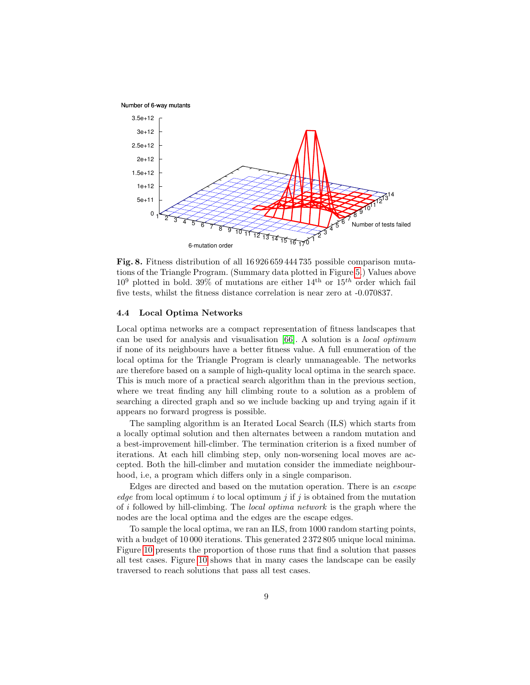

<span id="page-8-1"></span>Fig. 8. Fitness distribution of all 16 926 659 444 735 possible comparison mutations of the Triangle Program. (Summary data plotted in Figure [5.](#page-6-1)) Values above  $10^9$  plotted in bold. 39% of mutations are either  $14^{\text{th}}$  or  $15^{\text{th}}$  order which fail five tests, whilst the fitness distance correlation is near zero at -0.070837.

#### <span id="page-8-0"></span>4.4 Local Optima Networks

Local optima networks are a compact representation of fitness landscapes that can be used for analysis and visualisation [\[66\]](#page-15-16). A solution is a local optimum if none of its neighbours have a better fitness value. A full enumeration of the local optima for the Triangle Program is clearly unmanageable. The networks are therefore based on a sample of high-quality local optima in the search space. This is much more of a practical search algorithm than in the previous section, where we treat finding any hill climbing route to a solution as a problem of searching a directed graph and so we include backing up and trying again if it appears no forward progress is possible.

The sampling algorithm is an Iterated Local Search (ILS) which starts from a locally optimal solution and then alternates between a random mutation and a best-improvement hill-climber. The termination criterion is a fixed number of iterations. At each hill climbing step, only non-worsening local moves are accepted. Both the hill-climber and mutation consider the immediate neighbourhood, i.e, a program which differs only in a single comparison.

Edges are directed and based on the mutation operation. There is an escape edge from local optimum i to local optimum i if i is obtained from the mutation of i followed by hill-climbing. The local optima network is the graph where the nodes are the local optima and the edges are the escape edges.

To sample the local optima, we ran an ILS, from 1000 random starting points, with a budget of 10 000 iterations. This generated  $2372805$  unique local minima. Figure [10](#page-10-1) presents the proportion of those runs that find a solution that passes all test cases. Figure [10](#page-10-1) shows that in many cases the landscape can be easily traversed to reach solutions that pass all test cases.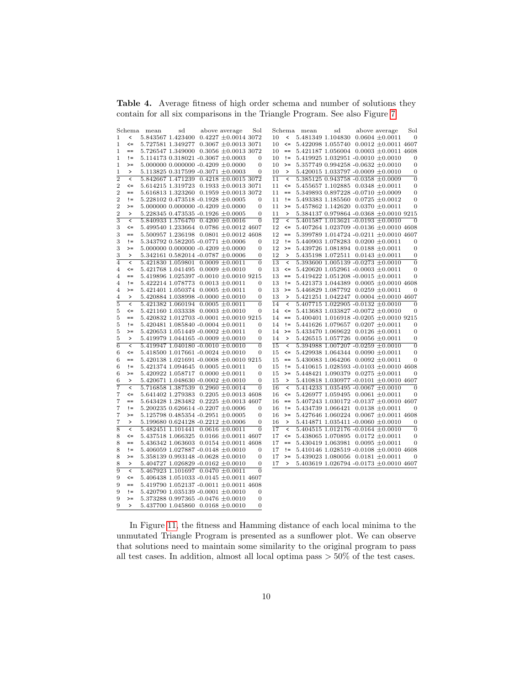<span id="page-9-0"></span>Table 4. Average fitness of high order schema and number of solutions they contain for all six comparisons in the Triangle Program. See also Figure [7](#page-7-2)

|                  |                          | Schema mean | sd                                            | above average | Sol              |                 |                                          | Schema mean | sd                                            | above average | Sol            |
|------------------|--------------------------|-------------|-----------------------------------------------|---------------|------------------|-----------------|------------------------------------------|-------------|-----------------------------------------------|---------------|----------------|
| 1                | $\,<$                    |             | $5.843567$ 1.423400 0.4227 $\pm 0.0014$ 3072  |               |                  | 10              | $\,<$                                    |             | 5.481349 1.104830 0.0604 $\pm 0.0011$         |               | $\theta$       |
| $\mathbf 1$      | $\leq$                   |             | 5.727581 1.349277 0.3067 $\pm 0.0013$ 3071    |               |                  | 10              | $\leq$                                   |             | $5.422098$ 1.055740 0.0012 $\pm$ 0.0011 4607  |               |                |
| $\mathbf 1$      | $==$                     |             | $5.726547$ 1.349000 0.3056 $\pm$ 0.0013 3072  |               |                  | 10              | $\!=\!=$                                 |             | $5.421187$ 1.056004 0.0003 $\pm$ 0.0011 4608  |               |                |
| 1                | $!=$                     |             | $5.114173$ 0.318021 -0.3067 $\pm$ 0.0003      |               | $\Omega$         | 10              | $!=$                                     |             | $5.419925$ 1.032951 -0.0010 $\pm 0.0010$      |               | 0              |
| $\mathbf 1$      | $>=$                     |             | $5.000000$ $0.000000$ $-0.4209 \pm 0.0000$    |               | $\overline{0}$   | 10              | $>=$                                     |             | $5.357749$ 0.994258 -0.0632 $\pm 0.0010$      |               | $\theta$       |
| 1                | $\,>\,$                  |             | 5.113825 0.317599 -0.3071 $\pm 0.0003$        |               | 0                | 10              | $\,>\,$                                  |             | $5.420015$ 1.033797 -0.0009 $\pm 0.0010$      |               | $\theta$       |
| $\overline{2}$   | $\,<$                    |             | 5.842667 1.471239 0.4218 $\pm 0.0015$ 3072    |               |                  | $\overline{11}$ | $\,<$                                    |             | $5.385125$ 0.943758 -0.0358 $\pm$ 0.0009      |               | $\theta$       |
| $\,2$            | $\leq$                   |             | $5.614215$ 1.319723 0.1933 $\pm$ 0.0013 3071  |               |                  | 11              | $\leq$                                   |             | $5.455657$ 1.102885 0.0348 $\pm$ 0.0011       |               | $\mathbf{0}$   |
| $\boldsymbol{2}$ | $==$                     |             | $5.616813$ 1.323260 0.1959 $\pm$ 0.0013 3072  |               |                  | 11              | $==$                                     |             | 5.349893 0.897228 -0.0710 $\pm$ 0.0009        |               | 0              |
| $\overline{2}$   | $!=$                     |             | $5.228102$ 0.473518 -0.1928 $\pm 0.0005$      |               | $\overline{0}$   | 11              | $!=$                                     |             | 5.493383 1.185560 0.0725 $\pm 0.0012$         |               | 0              |
| $\,2$            | $>=$                     |             | $5.000000$ $0.000000$ $-0.4209 \pm 0.0000$    |               | $\boldsymbol{0}$ | 11              | $>=$                                     |             | $5.457862$ 1.142620 0.0370 $\pm 0.0011$       |               | $\overline{0}$ |
| $\boldsymbol{2}$ | $\,$                     |             | $5.228345$ 0.473535 -0.1926 $\pm 0.0005$      |               | 0                | 11              | $\, >$                                   |             | 5.384137 0.979864 -0.0368 $\pm$ 0.0010 9215   |               |                |
| $\overline{3}$   | $\overline{\phantom{a}}$ |             | 5.840933 1.576470 0.4200 $\pm 0.0016$         |               | $\overline{0}$   | 12              | $\,<$                                    |             | 5.401587 1.013621 -0.0193 $\pm 0.0010$        |               | $\theta$       |
| 3                | $\leq$                   |             | 5.499540 1.233664 0.0786 $\pm$ 0.0012 4607    |               |                  | 12              | $\leq$                                   |             | $5.407264$ 1.023709 -0.0136 $\pm$ 0.0010 4608 |               |                |
| 3                | $==$                     |             | 5.500957 1.236198 0.0801 $\pm$ 0.0012 4608    |               |                  | 12              | $==$                                     |             | 5.399789 1.014724 -0.0211 $\pm$ 0.0010 4607   |               |                |
| 3                | $!=$                     |             | 5.343792 0.582205 -0.0771 $\pm 0.0006$        |               | 0                | 12              | $!=$                                     |             | 5.440903 1.078283 0.0200 $\pm$ 0.0011         |               | 0              |
| 3                | $>=$                     |             | $5.000000$ 0.000000 -0.4209 $\pm$ 0.0000      |               | 0                | 12              | $> =$                                    |             | $5.439726$ 1.081894 0.0188 $\pm 0.0011$       |               | $\mathbf{0}$   |
| 3                | $\,$                     |             | $5.342161$ $0.582014$ -0.0787 $\pm 0.0006$    |               | 0                | 12              | $\left( \right)$                         |             | $5.435198$ 1.072511 0.0143 $\pm 0.0011$       |               | 0              |
| $\overline{4}$   | $\overline{\phantom{a}}$ |             | $5.421830$ 1.059801 0.0009 $\pm$ 0.0011       |               | $\Omega$         | $\overline{13}$ | $\overline{\phantom{a}}$                 |             | $5.393600$ 1.005139 -0.0273 $\pm$ 0.0010      |               | $\Omega$       |
| $\overline{4}$   | $\leq$                   |             | $5.421768$ 1.041495 0.0009 $\pm 0.0010$       |               | $\overline{0}$   | 13              |                                          |             | $\leq 5.420620$ 1.052961 -0.0003 $\pm 0.0011$ |               | $\overline{0}$ |
|                  | $==$                     |             | 5.419896 1.025397 -0.0010 $\pm$ 0.0010 9215   |               |                  | 13              | $==$                                     |             | $5.419422$ 1.051208 -0.0015 $\pm 0.0011$      |               | 0              |
| 4                | $!=$                     |             |                                               |               | 0                | 13              | $!=$                                     |             |                                               |               |                |
| 4                |                          |             | $5.422214$ 1.078773 0.0013 $\pm 0.0011$       |               |                  |                 |                                          |             | $5.421373$ 1.044389 0.0005 $\pm$ 0.0010 4608  |               |                |
| 4                | $>=$                     |             | $5.421401$ 1.050374 0.0005 $\pm$ 0.0011       |               | 0                | 13              | $>=$                                     |             | $5.446829$ 1.087792 0.0259 $\pm 0.0011$       |               | $\overline{0}$ |
| $\overline{4}$   | $\rightarrow$            |             | $5.420884$ 1.038998 -0.0000 $\pm$ 0.0010      |               | 0                | 13              | $\rightarrow$                            |             | $5.421251$ 1.042247 0.0004 $\pm$ 0.0010 4607  |               |                |
| $\overline{5}$   | $\,<$                    |             | $5.421382$ 1.060194 0.0005 $\pm 0.0011$       |               | $\overline{0}$   | 14              | $\overline{\phantom{a}}$                 |             | $5.407715$ 1.022905 -0.0132 $\pm 0.0010$      |               | $\Omega$       |
| 5                | $\leq$                   |             | $5.421160$ 1.033338 0.0003 $\pm$ 0.0010       |               | 0                | 14              | $\texttt{<=}$                            |             | 5.413683 1.033827 -0.0072 $\pm 0.0010$        |               | 0              |
| 5                | $==$                     |             | $5.420832$ 1.012703 -0.0001 $\pm$ 0.0010 9215 |               |                  | 14              | $==$                                     |             | $5.400401$ 1.016918 -0.0205 $\pm$ 0.0010 9215 |               |                |
| 5                | $!=$                     |             | $5.420481$ 1.085840 -0.0004 $\pm 0.0011$      |               | 0                | 14              | $!=$                                     |             | $5.441626$ 1.079657 0.0207 $\pm 0.0011$       |               | 0              |
| 5                | $>=$                     |             | $5.420653$ 1.051449 -0.0002 $\pm 0.0011$      |               | 0                | 14              | $>=$                                     |             | $5.433470$ 1.069622 0.0126 $\pm$ 0.0011       |               | 0              |
| 5                | $\,$                     |             | $5.419979$ 1.044165 -0.0009 $\pm$ 0.0010      |               | $\boldsymbol{0}$ | 14              | $\, >$                                   |             | 5.426515 1.057726 0.0056 $\pm$ 0.0011         |               | $\mathbf{0}$   |
| $\overline{6}$   | $\,<$                    |             | 5.419947 1.040180 -0.0010 $\pm$ 0.0010        |               | $\overline{0}$   | $\overline{15}$ | $\,<$                                    |             | 5.394988 1.007207 -0.0259 $\pm 0.0010$        |               | $\theta$       |
| 6                | $\leq$                   |             | 5.418500 1.017661 -0.0024 $\pm$ 0.0010        |               | 0                | 15              | $\texttt{<=}$                            |             | $5.429938$ 1.064344 0.0090 $\pm$ 0.0011       |               | 0              |
| 6                | $==$                     |             | $5.420138$ 1.021691 -0.0008 $\pm$ 0.0010 9215 |               |                  | 15              | $==$                                     |             | $5.430083$ 1.064206 0.0092 $\pm 0.0011$       |               | 0              |
| 6                | $!=$                     |             | $5.421374$ 1.094645 0.0005 $\pm$ 0.0011       |               | 0                | 15              | $!=$                                     |             | $5.410615$ 1.028593 -0.0103 $\pm$ 0.0010 4608 |               |                |
| 6                | $>=$                     |             | $5.420922$ 1.058717 0.0000 $\pm 0.0011$       |               | $\overline{0}$   | 15              | $>=$                                     |             | $5.448421$ 1.090379 0.0275 $\pm 0.0011$       |               | $\overline{0}$ |
| 6                | $\,>\,$                  |             | 5.420671 1.048630 -0.0002 $\pm 0.0010$        |               | $\overline{0}$   | 15              | $\,>\,$                                  |             | $5.410818$ 1.030977 -0.0101 $\pm$ 0.0010 4607 |               |                |
| 7                | ₹                        |             | 5.716858 1.387539 0.2960 $\pm 0.0014$         |               | $\overline{0}$   | 16              | $\overline{\left\langle \right\rangle }$ |             | $5.414233$ 1.035495 -0.0067 $\pm 0.0010$      |               | $\overline{0}$ |
| 7                | $\leq$                   |             | $5.641402$ 1.279383 0.2205 $\pm$ 0.0013 4608  |               |                  | 16              | $\leq$                                   |             | $5.426977$ 1.059495 0.0061 $\pm 0.0011$       |               | 0              |
| 7                | $==$                     |             | $5.643428$ 1.283482 0.2225 $\pm 0.0013$ 4607  |               |                  | 16              | $==$                                     |             | $5.407243$ 1.030172 -0.0137 $\pm 0.0010$ 4607 |               |                |
| 7                | $!=$                     |             | 5.200235 0.626614 -0.2207 $\pm$ 0.0006        |               | 0                | 16              | $!=$                                     |             | $5.434739$ 1.066421 0.0138 $\pm 0.0011$       |               | $\overline{0}$ |
| 7                | $>=$                     |             | $5.125798$ 0.485354 -0.2951 $\pm 0.0005$      |               | $\overline{0}$   | 16              | $>=$                                     |             | $5.427646$ 1.060224 0.0067 $\pm$ 0.0011 4608  |               |                |
| 7                | $\,>\,$                  |             | 5.199680 0.624128 -0.2212 $\pm 0.0006$        |               | $\boldsymbol{0}$ | 16              | $\,>\,$                                  |             | 5.414871 1.035411 -0.0060 $\pm 0.0010$        |               | $\theta$       |
| $\overline{8}$   | $\,<\,$                  |             | 5.482451 1.101441 0.0616 $\pm 0.0011$         |               | $\overline{0}$   | 17              | $\,<\,$                                  |             | $5.404515$ 1.012176 -0.0164 $\pm 0.0010$      |               | $\overline{0}$ |
| 8                | $\leq$                   |             | $5.437518$ 1.066325 0.0166 $\pm$ 0.0011 4607  |               |                  | 17              | $\leq$                                   |             | 5.438065 1.070895 0.0172 $\pm 0.0011$         |               | 0              |
| 8                | $==$                     |             | $5.436342$ 1.063603 0.0154 $\pm$ 0.0011 4608  |               |                  | 17              | $==$                                     |             | $5.430419$ 1.063981 0.0095 $\pm 0.0011$       |               | $\overline{0}$ |
| 8                | $!=$                     |             | 5.406059 1.027887 -0.0148 $\pm 0.0010$        |               | 0                | 17              | $!=$                                     |             | $5.410146$ 1.028519 -0.0108 $\pm$ 0.0010 4608 |               |                |
| 8                | $>=$                     |             | $5.358139$ 0.993148 -0.0628 $\pm$ 0.0010      |               | 0                | 17              | $>=$                                     |             | 5.439023 1.080056 0.0181 $\pm 0.0011$         |               | $\overline{0}$ |
| 8                | >                        |             | $5.404727$ 1.026829 -0.0162 $\pm 0.0010$      |               | 0                | 17              | $\,>\,$                                  |             | $5.403619$ 1.026794 -0.0173 $\pm$ 0.0010 4607 |               |                |
| $\overline{9}$   | $\acute{}$               |             | $5.467923$ 1.101697 0.0470 $\pm 0.0011$       |               | $\overline{0}$   |                 |                                          |             |                                               |               |                |
| 9                | $\leq$                   |             | 5.406438 1.051033 -0.0145 $\pm$ 0.0011 4607   |               |                  |                 |                                          |             |                                               |               |                |
| 9                | $=$                      |             | $5.419790$ 1.052137 -0.0011 $\pm$ 0.0011 4608 |               |                  |                 |                                          |             |                                               |               |                |
| 9                | $!=$                     |             | $5.420790$ 1.035139 -0.0001 $\pm 0.0010$      |               | 0                |                 |                                          |             |                                               |               |                |
| 9                | $>=$                     |             | $5.373288$ 0.997365 -0.0476 $\pm$ 0.0010      |               | 0                |                 |                                          |             |                                               |               |                |
| 9                | $\rightarrow$            |             | $5.437700$ 1.045860 0.0168 $\pm$ 0.0010       |               | $\overline{0}$   |                 |                                          |             |                                               |               |                |
|                  |                          |             |                                               |               |                  |                 |                                          |             |                                               |               |                |

In Figure [11,](#page-11-0) the fitness and Hamming distance of each local minima to the unmutated Triangle Program is presented as a sunflower plot. We can observe that solutions need to maintain some similarity to the original program to pass all test cases. In addition, almost all local optima pass > 50% of the test cases.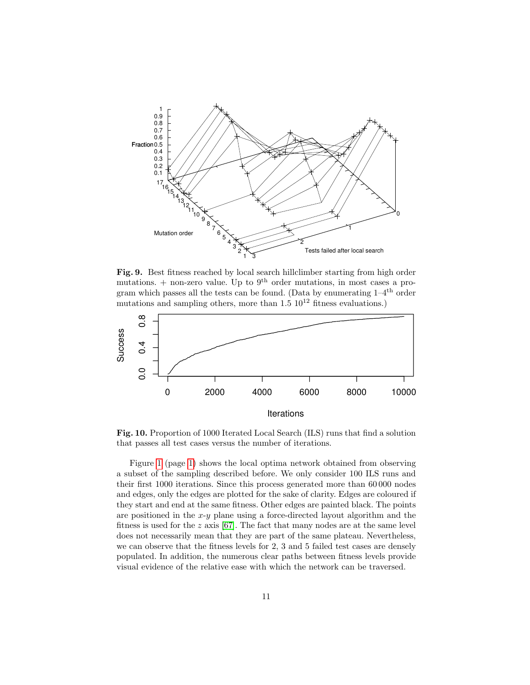

<span id="page-10-0"></span>Fig. 9. Best fitness reached by local search hillclimber starting from high order mutations.  $+$  non-zero value. Up to 9<sup>th</sup> order mutations, in most cases a program which passes all the tests can be found. (Data by enumerating  $1-4$ <sup>th</sup> order mutations and sampling others, more than  $1.5 \, 10^{12}$  fitness evaluations.)



<span id="page-10-1"></span>Fig. 10. Proportion of 1000 Iterated Local Search (ILS) runs that find a solution that passes all test cases versus the number of iterations.

Figure [1](#page-0-0) (page [1\)](#page-0-0) shows the local optima network obtained from observing a subset of the sampling described before. We only consider 100 ILS runs and their first 1000 iterations. Since this process generated more than 60 000 nodes and edges, only the edges are plotted for the sake of clarity. Edges are coloured if they start and end at the same fitness. Other edges are painted black. The points are positioned in the  $x-y$  plane using a force-directed layout algorithm and the fitness is used for the  $z$  axis [\[67\]](#page-15-17). The fact that many nodes are at the same level does not necessarily mean that they are part of the same plateau. Nevertheless, we can observe that the fitness levels for 2, 3 and 5 failed test cases are densely populated. In addition, the numerous clear paths between fitness levels provide visual evidence of the relative ease with which the network can be traversed.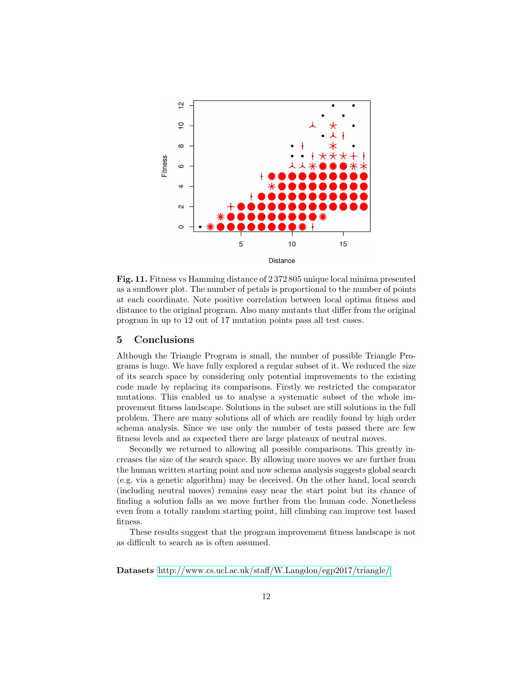

<span id="page-11-0"></span>Fig. 11. Fitness vs Hamming distance of 2 372 805 unique local minima presented as a sunflower plot. The number of petals is proportional to the number of points at each coordinate. Note positive correlation between local optima fitness and distance to the original program. Also many mutants that differ from the original program in up to 12 out of 17 mutation points pass all test cases.

### 5 Conclusions

Although the Triangle Program is small, the number of possible Triangle Programs is huge. We have fully explored a regular subset of it. We reduced the size of its search space by considering only potential improvements to the existing code made by replacing its comparisons. Firstly we restricted the comparator mutations. This enabled us to analyse a systematic subset of the whole improvement fitness landscape. Solutions in the subset are still solutions in the full problem. There are many solutions all of which are readily found by high order schema analysis. Since we use only the number of tests passed there are few fitness levels and as expected there are large plateaux of neutral moves.

Secondly we returned to allowing all possible comparisons. This greatly increases the size of the search space. By allowing more moves we are further from the human written starting point and now schema analysis suggests global search (e.g. via a genetic algorithm) may be deceived. On the other hand, local search (including neutral moves) remains easy near the start point but its chance of finding a solution falls as we move further from the human code. Nonetheless even from a totally random starting point, hill climbing can improve test based fitness.

These results suggest that the program improvement fitness landscape is not as difficult to search as is often assumed.

Datasets <http://www.cs.ucl.ac.uk/staff/W.Langdon/egp2017/triangle/>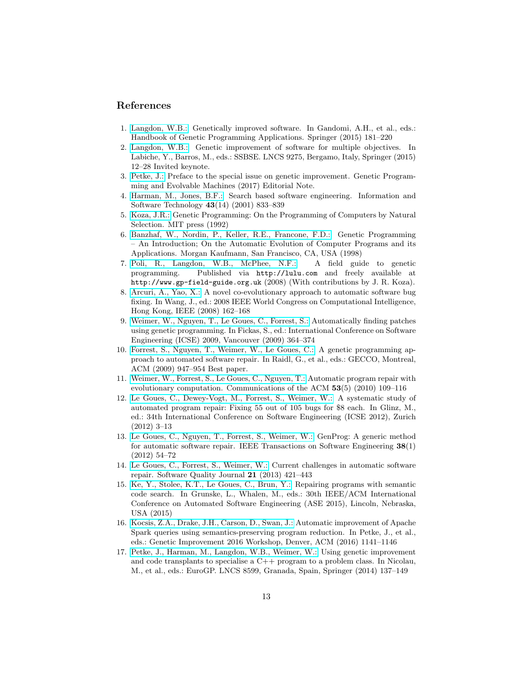### References

- <span id="page-12-0"></span>1. [Langdon, W.B.:](http://www.cs.bham.ac.uk/~wbl/biblio/gp-html/langdon_2015_hbgpa.html) Genetically improved software. In Gandomi, A.H., et al., eds.: Handbook of Genetic Programming Applications. Springer (2015) 181–220
- <span id="page-12-1"></span>2. [Langdon, W.B.:](http://www.cs.bham.ac.uk/~wbl/biblio/gp-html/Langdon_2015_SSBSE.html) Genetic improvement of software for multiple objectives. In Labiche, Y., Barros, M., eds.: SSBSE. LNCS 9275, Bergamo, Italy, Springer (2015) 12–28 Invited keynote.
- <span id="page-12-2"></span>3. [Petke, J.:](http://www.cs.bham.ac.uk/~wbl/biblio/gp-html/Petke_2016_GPEM.html) Preface to the special issue on genetic improvement. Genetic Programming and Evolvable Machines (2017) Editorial Note.
- <span id="page-12-3"></span>4. [Harman, M., Jones, B.F.:](http://dx.doi.org/10.1016/S0950-5849(01)00189-6) Search based software engineering. Information and Software Technology 43(14) (2001) 833–839
- <span id="page-12-4"></span>5. [Koza, J.R.:](http://www.cs.bham.ac.uk/~wbl/biblio/gp-html/koza_book.html) Genetic Programming: On the Programming of Computers by Natural Selection. MIT press (1992)
- <span id="page-12-5"></span>6. [Banzhaf, W., Nordin, P., Keller, R.E., Francone, F.D.:](http://www.cs.bham.ac.uk/~wbl/biblio/gp-html/banzhaf_1997_book.html) Genetic Programming – An Introduction; On the Automatic Evolution of Computer Programs and its Applications. Morgan Kaufmann, San Francisco, CA, USA (1998)
- <span id="page-12-6"></span>7. [Poli, R., Langdon, W.B., McPhee, N.F.:](http://www.cs.bham.ac.uk/~wbl/biblio/gp-html/poli08_fieldguide.html) A field guide to genetic programming. Published via http://lulu.com and freely available at http://www.gp-field-guide.org.uk (2008) (With contributions by J. R. Koza).
- <span id="page-12-7"></span>8. [Arcuri, A., Yao, X.:](http://www.cs.bham.ac.uk/~wbl/biblio/gp-html/Arcuri_2008_cec.html) A novel co-evolutionary approach to automatic software bug fixing. In Wang, J., ed.: 2008 IEEE World Congress on Computational Intelligence, Hong Kong, IEEE (2008) 162–168
- <span id="page-12-8"></span>9. [Weimer, W., Nguyen, T., Le Goues, C., Forrest, S.:](http://www.cs.bham.ac.uk/~wbl/biblio/gp-html/Weimer_2009_ICES.html) Automatically finding patches using genetic programming. In Fickas, S., ed.: International Conference on Software Engineering (ICSE) 2009, Vancouver (2009) 364–374
- <span id="page-12-9"></span>10. [Forrest, S., Nguyen, T., Weimer, W., Le Goues, C.:](http://www.cs.bham.ac.uk/~wbl/biblio/gp-html/DBLP_conf_gecco_ForrestNWG09.html) A genetic programming approach to automated software repair. In Raidl, G., et al., eds.: GECCO, Montreal, ACM (2009) 947–954 Best paper.
- <span id="page-12-10"></span>11. [Weimer, W., Forrest, S., Le Goues, C., Nguyen, T.:](http://www.cs.bham.ac.uk/~wbl/biblio/gp-html/Weimer_2010_ACM.html) Automatic program repair with evolutionary computation. Communications of the ACM  $53(5)$  (2010) 109–116
- <span id="page-12-11"></span>12. [Le Goues, C., Dewey-Vogt, M., Forrest, S., Weimer, W.:](http://www.cs.bham.ac.uk/~wbl/biblio/gp-html/LeGoues_2012_ICSE.html) A systematic study of automated program repair: Fixing 55 out of 105 bugs for \$8 each. In Glinz, M., ed.: 34th International Conference on Software Engineering (ICSE 2012), Zurich (2012) 3–13
- <span id="page-12-12"></span>13. [Le Goues, C., Nguyen, T., Forrest, S., Weimer, W.:](http://www.cs.bham.ac.uk/~wbl/biblio/gp-html/DBLP_journals_tse_GouesNFW12.html) GenProg: A generic method for automatic software repair. IEEE Transactions on Software Engineering 38(1) (2012) 54–72
- <span id="page-12-13"></span>14. [Le Goues, C., Forrest, S., Weimer, W.:](http://www.cs.bham.ac.uk/~wbl/biblio/gp-html/legouesWFSQJO2013.html) Current challenges in automatic software repair. Software Quality Journal 21 (2013) 421–443
- <span id="page-12-14"></span>15. [Ke, Y., Stolee, K.T., Le Goues, C., Brun, Y.:](http://www.cs.bham.ac.uk/~wbl/biblio/gp-html/Ke_2015_ASE.html) Repairing programs with semantic code search. In Grunske, L., Whalen, M., eds.: 30th IEEE/ACM International Conference on Automated Software Engineering (ASE 2015), Lincoln, Nebraska, USA (2015)
- <span id="page-12-15"></span>16. [Kocsis, Z.A., Drake, J.H., Carson, D., Swan, J.:](http://www.cs.bham.ac.uk/~wbl/biblio/gp-html/Kocsis_2016_GI.html) Automatic improvement of Apache Spark queries using semantics-preserving program reduction. In Petke, J., et al., eds.: Genetic Improvement 2016 Workshop, Denver, ACM (2016) 1141–1146
- <span id="page-12-16"></span>17. [Petke, J., Harman, M., Langdon, W.B., Weimer, W.:](http://www.cs.bham.ac.uk/~wbl/biblio/gp-html/Petke_2014_EuroGP.html) Using genetic improvement and code transplants to specialise a C++ program to a problem class. In Nicolau, M., et al., eds.: EuroGP. LNCS 8599, Granada, Spain, Springer (2014) 137–149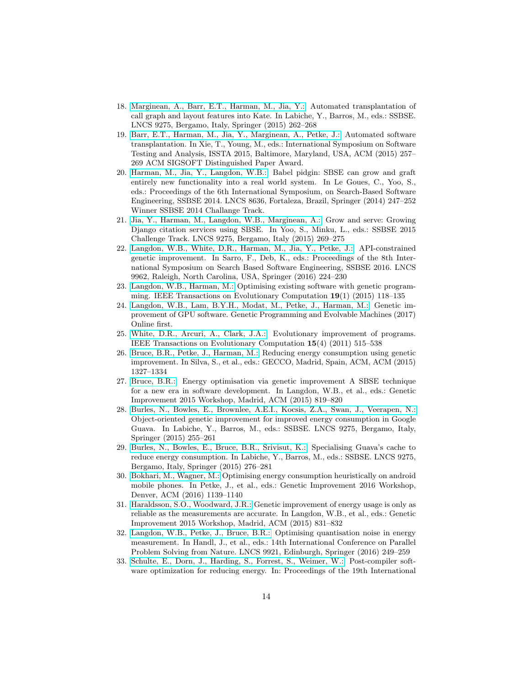- <span id="page-13-0"></span>18. [Marginean, A., Barr, E.T., Harman, M., Jia, Y.:](http://www.cs.bham.ac.uk/~wbl/biblio/gp-html/Marginean_2015_SSBSE.html) Automated transplantation of call graph and layout features into Kate. In Labiche, Y., Barros, M., eds.: SSBSE. LNCS 9275, Bergamo, Italy, Springer (2015) 262–268
- <span id="page-13-1"></span>19. [Barr, E.T., Harman, M., Jia, Y., Marginean, A., Petke, J.:](http://www.cs.bham.ac.uk/~wbl/biblio/gp-html/Barr_2015_ISSTA.html) Automated software transplantation. In Xie, T., Young, M., eds.: International Symposium on Software Testing and Analysis, ISSTA 2015, Baltimore, Maryland, USA, ACM (2015) 257– 269 ACM SIGSOFT Distinguished Paper Award.
- <span id="page-13-2"></span>20. [Harman, M., Jia, Y., Langdon, W.B.:](http://www.cs.bham.ac.uk/~wbl/biblio/gp-html/Harman_2014_Babel.html) Babel pidgin: SBSE can grow and graft entirely new functionality into a real world system. In Le Goues, C., Yoo, S., eds.: Proceedings of the 6th International Symposium, on Search-Based Software Engineering, SSBSE 2014. LNCS 8636, Fortaleza, Brazil, Springer (2014) 247–252 Winner SSBSE 2014 Challange Track.
- <span id="page-13-3"></span>21. [Jia, Y., Harman, M., Langdon, W.B., Marginean, A.:](http://www.cs.bham.ac.uk/~wbl/biblio/gp-html/jia_2015_gsgp.html) Grow and serve: Growing Django citation services using SBSE. In Yoo, S., Minku, L., eds.: SSBSE 2015 Challenge Track. LNCS 9275, Bergamo, Italy (2015) 269–275
- <span id="page-13-4"></span>22. [Langdon, W.B., White, D.R., Harman, M., Jia, Y., Petke, J.:](http://www.cs.bham.ac.uk/~wbl/biblio/gp-html/Langdon_2016_SSBSE.html) API-constrained genetic improvement. In Sarro, F., Deb, K., eds.: Proceedings of the 8th International Symposium on Search Based Software Engineering, SSBSE 2016. LNCS 9962, Raleigh, North Carolina, USA, Springer (2016) 224–230
- <span id="page-13-5"></span>23. [Langdon, W.B., Harman, M.:](http://www.cs.bham.ac.uk/~wbl/biblio/gp-html/Langdon_2013_ieeeTEC.html) Optimising existing software with genetic programming. IEEE Transactions on Evolutionary Computation 19(1) (2015) 118–135
- <span id="page-13-6"></span>24. [Langdon, W.B., Lam, B.Y.H., Modat, M., Petke, J., Harman, M.:](http://www.cs.bham.ac.uk/~wbl/biblio/gp-html/Langdon_2016_GPEM.html) Genetic improvement of GPU software. Genetic Programming and Evolvable Machines (2017) Online first.
- <span id="page-13-7"></span>25. [White, D.R., Arcuri, A., Clark, J.A.:](http://www.cs.bham.ac.uk/~wbl/biblio/gp-html/White_2011_ieeeTEC.html) Evolutionary improvement of programs. IEEE Transactions on Evolutionary Computation 15(4) (2011) 515–538
- <span id="page-13-8"></span>26. [Bruce, B.R., Petke, J., Harman, M.:](http://www.cs.bham.ac.uk/~wbl/biblio/gp-html/bruce2015reducing.html) Reducing energy consumption using genetic improvement. In Silva, S., et al., eds.: GECCO, Madrid, Spain, ACM, ACM (2015) 1327–1334
- <span id="page-13-9"></span>27. [Bruce, B.R.:](http://www.cs.bham.ac.uk/~wbl/biblio/gp-html/Bruce_2015_gi.html) Energy optimisation via genetic improvement A SBSE technique for a new era in software development. In Langdon, W.B., et al., eds.: Genetic Improvement 2015 Workshop, Madrid, ACM (2015) 819–820
- <span id="page-13-10"></span>28. [Burles, N., Bowles, E., Brownlee, A.E.I., Kocsis, Z.A., Swan, J., Veerapen, N.:](http://www.cs.bham.ac.uk/~wbl/biblio/gp-html/Burles_2015_SSBSE.html) Object-oriented genetic improvement for improved energy consumption in Google Guava. In Labiche, Y., Barros, M., eds.: SSBSE. LNCS 9275, Bergamo, Italy, Springer (2015) 255–261
- <span id="page-13-11"></span>29. [Burles, N., Bowles, E., Bruce, B.R., Srivisut, K.:](http://www.cs.bham.ac.uk/~wbl/biblio/gp-html/Burles_2015_SSBSEa.html) Specialising Guava's cache to reduce energy consumption. In Labiche, Y., Barros, M., eds.: SSBSE. LNCS 9275, Bergamo, Italy, Springer (2015) 276–281
- <span id="page-13-12"></span>30. [Bokhari, M., Wagner, M.:](http://www.cs.bham.ac.uk/~wbl/biblio/gp-html/Bokhari_2016_GI.html) Optimising energy consumption heuristically on android mobile phones. In Petke, J., et al., eds.: Genetic Improvement 2016 Workshop, Denver, ACM (2016) 1139–1140
- <span id="page-13-13"></span>31. [Haraldsson, S.O., Woodward, J.R.:](http://www.cs.bham.ac.uk/~wbl/biblio/gp-html/Haraldsson_2015_gi.html) Genetic improvement of energy usage is only as reliable as the measurements are accurate. In Langdon, W.B., et al., eds.: Genetic Improvement 2015 Workshop, Madrid, ACM (2015) 831–832
- <span id="page-13-14"></span>32. [Langdon, W.B., Petke, J., Bruce, B.R.:](http://www.cs.bham.ac.uk/~wbl/biblio/gp-html/Langdon_2016_PPSN.html) Optimising quantisation noise in energy measurement. In Handl, J., et al., eds.: 14th International Conference on Parallel Problem Solving from Nature. LNCS 9921, Edinburgh, Springer (2016) 249–259
- <span id="page-13-15"></span>33. [Schulte, E., Dorn, J., Harding, S., Forrest, S., Weimer, W.:](http://www.cs.bham.ac.uk/~wbl/biblio/gp-html/schulte2014optimization.html) Post-compiler software optimization for reducing energy. In: Proceedings of the 19th International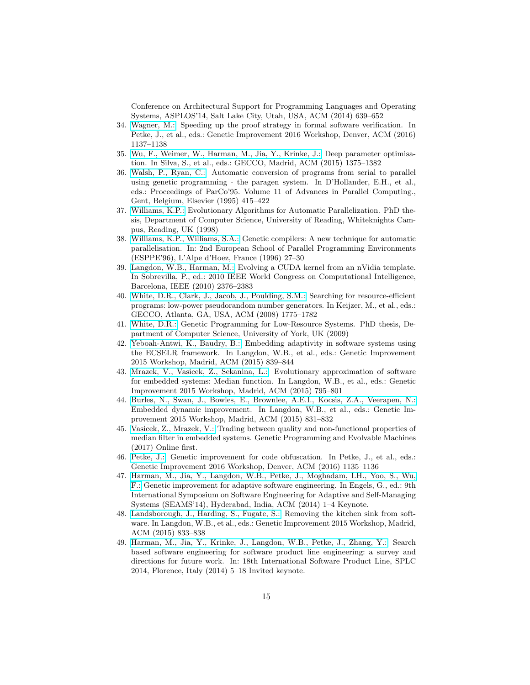Conference on Architectural Support for Programming Languages and Operating Systems, ASPLOS'14, Salt Lake City, Utah, USA, ACM (2014) 639–652

- <span id="page-14-0"></span>34. [Wagner, M.:](http://www.cs.bham.ac.uk/~wbl/biblio/gp-html/Wagner_2016_GI.html) Speeding up the proof strategy in formal software verification. In Petke, J., et al., eds.: Genetic Improvement 2016 Workshop, Denver, ACM (2016) 1137–1138
- <span id="page-14-1"></span>35. [Wu, F., Weimer, W., Harman, M., Jia, Y., Krinke, J.:](http://www.cs.bham.ac.uk/~wbl/biblio/gp-html/Wu_2015_GECCO.html) Deep parameter optimisation. In Silva, S., et al., eds.: GECCO, Madrid, ACM (2015) 1375–1382
- <span id="page-14-2"></span>36. [Walsh, P., Ryan, C.:](http://www.cs.bham.ac.uk/~wbl/biblio/gp-html/ryan_1995_paragen.html) Automatic conversion of programs from serial to parallel using genetic programming - the paragen system. In D'Hollander, E.H., et al., eds.: Proceedings of ParCo'95. Volume 11 of Advances in Parallel Computing., Gent, Belgium, Elsevier (1995) 415–422
- <span id="page-14-3"></span>37. [Williams, K.P.:](http://www.cs.bham.ac.uk/~wbl/biblio/gp-html/williams98.html) Evolutionary Algorithms for Automatic Parallelization. PhD thesis, Department of Computer Science, University of Reading, Whiteknights Campus, Reading, UK (1998)
- <span id="page-14-4"></span>38. [Williams, K.P., Williams, S.A.:](http://citeseerx.ist.psu.edu/viewdoc/summary?doi=10.1.1.49.3499) Genetic compilers: A new technique for automatic parallelisation. In: 2nd European School of Parallel Programming Environments (ESPPE'96), L'Alpe d'Hoez, France (1996) 27–30
- <span id="page-14-5"></span>39. [Langdon, W.B., Harman, M.:](http://www.cs.bham.ac.uk/~wbl/biblio/gp-html/langdon_2010_cigpu.html) Evolving a CUDA kernel from an nVidia template. In Sobrevilla, P., ed.: 2010 IEEE World Congress on Computational Intelligence, Barcelona, IEEE (2010) 2376–2383
- <span id="page-14-6"></span>40. [White, D.R., Clark, J., Jacob, J., Poulding, S.M.:](http://www.cs.bham.ac.uk/~wbl/biblio/gp-html/White2_2008_gecco.html) Searching for resource-efficient programs: low-power pseudorandom number generators. In Keijzer, M., et al., eds.: GECCO, Atlanta, GA, USA, ACM (2008) 1775–1782
- <span id="page-14-7"></span>41. [White, D.R.:](http://www.cs.bham.ac.uk/~wbl/biblio/gp-html/White_thesis.html) Genetic Programming for Low-Resource Systems. PhD thesis, Department of Computer Science, University of York, UK (2009)
- <span id="page-14-8"></span>42. [Yeboah-Antwi, K., Baudry, B.:](http://www.cs.bham.ac.uk/~wbl/biblio/gp-html/Yeboah-Antwi_2015_gi.html) Embedding adaptivity in software systems using the ECSELR framework. In Langdon, W.B., et al., eds.: Genetic Improvement 2015 Workshop, Madrid, ACM (2015) 839–844
- <span id="page-14-9"></span>43. [Mrazek, V., Vasicek, Z., Sekanina, L.:](http://www.cs.bham.ac.uk/~wbl/biblio/gp-html/Mrazek_2015_gi.html) Evolutionary approximation of software for embedded systems: Median function. In Langdon, W.B., et al., eds.: Genetic Improvement 2015 Workshop, Madrid, ACM (2015) 795–801
- <span id="page-14-10"></span>44. [Burles, N., Swan, J., Bowles, E., Brownlee, A.E.I., Kocsis, Z.A., Veerapen, N.:](http://www.cs.bham.ac.uk/~wbl/biblio/gp-html/Swan_2015_gi.html) Embedded dynamic improvement. In Langdon, W.B., et al., eds.: Genetic Improvement 2015 Workshop, Madrid, ACM (2015) 831–832
- <span id="page-14-11"></span>45. [Vasicek, Z., Mrazek, V.:](http://www.cs.bham.ac.uk/~wbl/biblio/gp-html/Vasicek_2016_GPEMa.html) Trading between quality and non-functional properties of median filter in embedded systems. Genetic Programming and Evolvable Machines (2017) Online first.
- <span id="page-14-12"></span>46. [Petke, J.:](http://www.cs.bham.ac.uk/~wbl/biblio/gp-html/Petke_2016_GI.html) Genetic improvement for code obfuscation. In Petke, J., et al., eds.: Genetic Improvement 2016 Workshop, Denver, ACM (2016) 1135–1136
- <span id="page-14-13"></span>47. [Harman, M., Jia, Y., Langdon, W.B., Petke, J., Moghadam, I.H., Yoo, S., Wu,](http://www.cs.bham.ac.uk/~wbl/biblio/gp-html/Harman_2014_seams.html) [F.:](http://www.cs.bham.ac.uk/~wbl/biblio/gp-html/Harman_2014_seams.html) Genetic improvement for adaptive software engineering. In Engels, G., ed.: 9th International Symposium on Software Engineering for Adaptive and Self-Managing Systems (SEAMS'14), Hyderabad, India, ACM (2014) 1–4 Keynote.
- <span id="page-14-14"></span>48. [Landsborough, J., Harding, S., Fugate, S.:](http://www.cs.bham.ac.uk/~wbl/biblio/gp-html/Landsborough_2015_gi.html) Removing the kitchen sink from software. In Langdon, W.B., et al., eds.: Genetic Improvement 2015 Workshop, Madrid, ACM (2015) 833–838
- <span id="page-14-15"></span>49. [Harman, M., Jia, Y., Krinke, J., Langdon, W.B., Petke, J., Zhang, Y.:](http://www.cs.bham.ac.uk/~wbl/biblio/gp-html/Harman_2014_SPLC.html) Search based software engineering for software product line engineering: a survey and directions for future work. In: 18th International Software Product Line, SPLC 2014, Florence, Italy (2014) 5–18 Invited keynote.